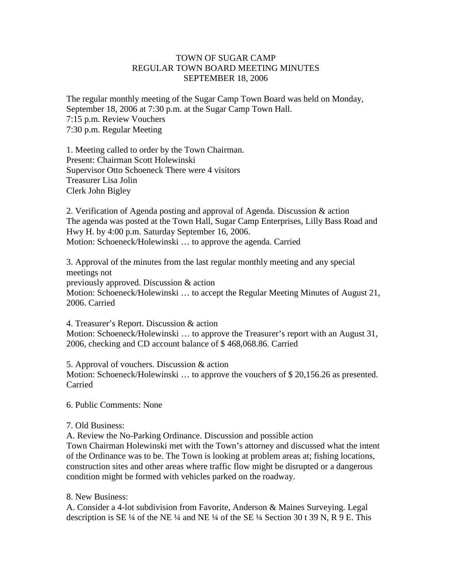## TOWN OF SUGAR CAMP REGULAR TOWN BOARD MEETING MINUTES SEPTEMBER 18, 2006

The regular monthly meeting of the Sugar Camp Town Board was held on Monday, September 18, 2006 at 7:30 p.m. at the Sugar Camp Town Hall. 7:15 p.m. Review Vouchers 7:30 p.m. Regular Meeting

1. Meeting called to order by the Town Chairman. Present: Chairman Scott Holewinski Supervisor Otto Schoeneck There were 4 visitors Treasurer Lisa Jolin Clerk John Bigley

2. Verification of Agenda posting and approval of Agenda. Discussion & action The agenda was posted at the Town Hall, Sugar Camp Enterprises, Lilly Bass Road and Hwy H. by 4:00 p.m. Saturday September 16, 2006. Motion: Schoeneck/Holewinski … to approve the agenda. Carried

3. Approval of the minutes from the last regular monthly meeting and any special meetings not previously approved. Discussion & action Motion: Schoeneck/Holewinski … to accept the Regular Meeting Minutes of August 21, 2006. Carried

4. Treasurer's Report. Discussion & action Motion: Schoeneck/Holewinski … to approve the Treasurer's report with an August 31, 2006, checking and CD account balance of \$ 468,068.86. Carried

5. Approval of vouchers. Discussion & action Motion: Schoeneck/Holewinski … to approve the vouchers of \$ 20,156.26 as presented. Carried

6. Public Comments: None

## 7. Old Business:

A. Review the No-Parking Ordinance. Discussion and possible action Town Chairman Holewinski met with the Town's attorney and discussed what the intent of the Ordinance was to be. The Town is looking at problem areas at; fishing locations, construction sites and other areas where traffic flow might be disrupted or a dangerous condition might be formed with vehicles parked on the roadway.

## 8. New Business:

A. Consider a 4-lot subdivision from Favorite, Anderson & Maines Surveying. Legal description is SE ¼ of the NE ¼ and NE ¼ of the SE ¼ Section 30 t 39 N, R 9 E. This